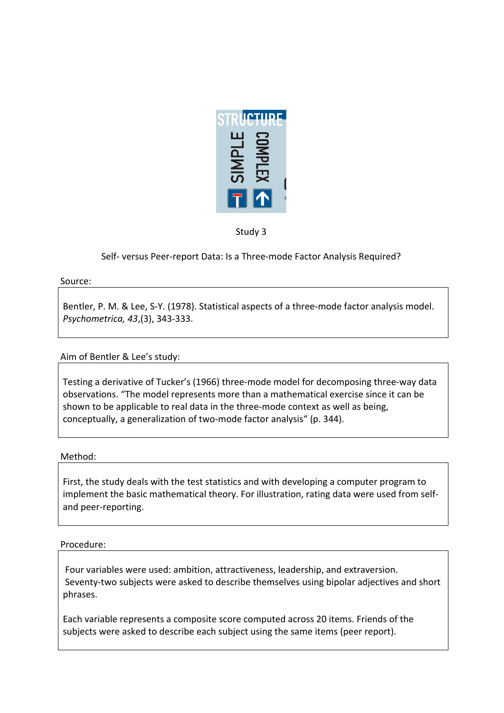

Study 3

Self- versus Peer-report Data: Is a Three-mode Factor Analysis Required?

Source:

Bentler, P. M. & Lee, S-Y. (1978). Statistical aspects of a three-mode factor analysis model. *Psychometrica, 43*,(3),!343+333.!

# Aim of Bentler & Lee's study:

Testing a derivative of Tucker's (1966) three-mode model for decomposing three-way data observations. "The model represents more than a mathematical exercise since it can be shown to be applicable to real data in the three-mode context as well as being, conceptually, a generalization of two-mode factor analysis" (p. 344).

# Method:

First, the study deals with the test statistics and with developing a computer program to implement the basic mathematical theory. For illustration, rating data were used from selfand peer-reporting.

## Procedure:

Four variables were used: ambition, attractiveness, leadership, and extraversion. Seventy-two subjects were asked to describe themselves using bipolar adjectives and short phrases.

Each variable represents a composite score computed across 20 items. Friends of the subjects were asked to describe each subject using the same items (peer report).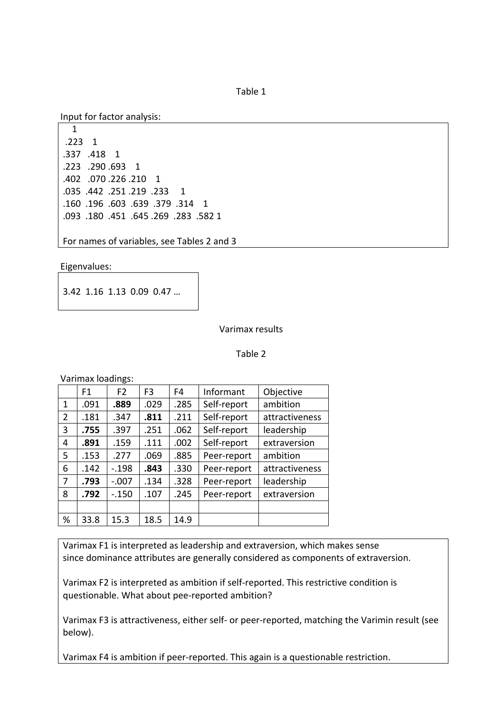Table 1

Input for factor analysis:

```
\mathbf 1.223 \quad 1.337 .418 1
.223 .290 .693 1
.402 .070 .226 .210 1
.035 .442 .251 .219 .233 1
.160 .196 .603 .639 .379 .314 1
.093 .180 .451 .645 .269 .283 .582 1
```
For names of variables, see Tables 2 and 3

Eigenvalues:

3.42 1.16 1.13 0.09 0.47 ...

Varimax results

Table 2

Varimax loadings:

|   | F1   | F <sub>2</sub> | F <sub>3</sub> | F <sub>4</sub> | Informant   | Objective      |  |
|---|------|----------------|----------------|----------------|-------------|----------------|--|
| 1 | .091 | .889           | .029           | .285           | Self-report | ambition       |  |
| 2 | .181 | .347           | .811           | .211           | Self-report | attractiveness |  |
| 3 | .755 | .397           | .251           | .062           | Self-report | leadership     |  |
| 4 | .891 | .159           | .111           | .002           | Self-report | extraversion   |  |
| 5 | .153 | .277           | .069           | .885           | Peer-report | ambition       |  |
| 6 | .142 | $-198$         | .843           | .330           | Peer-report | attractiveness |  |
| 7 | .793 | $-.007$        | .134           | .328           | Peer-report | leadership     |  |
| 8 | .792 | $-0.150$       | .107           | .245           | Peer-report | extraversion   |  |
|   |      |                |                |                |             |                |  |
| % | 33.8 | 15.3           | 18.5           | 14.9           |             |                |  |

Varimax F1 is interpreted as leadership and extraversion, which makes sense since dominance attributes are generally considered as components of extraversion.

Varimax F2 is interpreted as ambition if self-reported. This restrictive condition is questionable. What about pee-reported ambition?

Varimax F3 is attractiveness, either self- or peer-reported, matching the Varimin result (see below).

Varimax F4 is ambition if peer-reported. This again is a questionable restriction.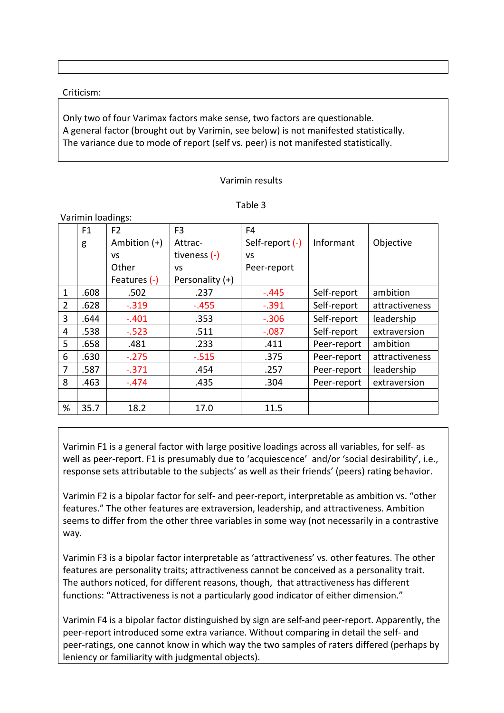## Criticism:

Only two of four Varimax factors make sense, two factors are questionable. A general factor (brought out by Varimin, see below) is not manifested statistically. The variance due to mode of report (self vs. peer) is not manifested statistically.

## Varimin results

| ani | L |
|-----|---|
|-----|---|

|              | F1   | F <sub>2</sub> | F <sub>3</sub>  | F4              |             |                |  |  |  |
|--------------|------|----------------|-----------------|-----------------|-------------|----------------|--|--|--|
|              | g    | Ambition $(+)$ | Attrac-         | Self-report (-) | Informant   | Objective      |  |  |  |
|              |      | <b>VS</b>      | tiveness (-)    | <b>VS</b>       |             |                |  |  |  |
|              |      | Other          | <b>VS</b>       | Peer-report     |             |                |  |  |  |
|              |      | Features (-)   | Personality (+) |                 |             |                |  |  |  |
| $\mathbf{1}$ | .608 | .502           | .237            | $-.445$         | Self-report | ambition       |  |  |  |
| 2            | .628 | $-.319$        | $-.455$         | $-.391$         | Self-report | attractiveness |  |  |  |
| 3            | .644 | $-.401$        | .353            | $-.306$         | Self-report | leadership     |  |  |  |
| 4            | .538 | $-.523$        | .511            | $-.087$         | Self-report | extraversion   |  |  |  |
| 5            | .658 | .481           | .233            | .411            | Peer-report | ambition       |  |  |  |
| 6            | .630 | $-.275$        | $-.515$         | .375            | Peer-report | attractiveness |  |  |  |
| 7            | .587 | $-.371$        | .454            | .257            | Peer-report | leadership     |  |  |  |
| 8            | .463 | $-.474$        | .435            | .304            | Peer-report | extraversion   |  |  |  |
|              |      |                |                 |                 |             |                |  |  |  |
| %            | 35.7 | 18.2           | 17.0            | 11.5            |             |                |  |  |  |
|              |      |                |                 |                 |             |                |  |  |  |

Varimin F1 is a general factor with large positive loadings across all variables, for self- as well as peer-report. F1 is presumably due to 'acquiescence' and/or 'social desirability', i.e., response sets attributable to the subjects' as well as their friends' (peers) rating behavior.

Varimin F2 is a bipolar factor for self- and peer-report, interpretable as ambition vs. "other features." The other features are extraversion, leadership, and attractiveness. Ambition seems to differ from the other three variables in some way (not necessarily in a contrastive way.

Varimin F3 is a bipolar factor interpretable as 'attractiveness' vs. other features. The other features are personality traits; attractiveness cannot be conceived as a personality trait. The authors noticed, for different reasons, though, that attractiveness has different functions: "Attractiveness is not a particularly good indicator of either dimension."

Varimin F4 is a bipolar factor distinguished by sign are self-and peer-report. Apparently, the peer-report introduced some extra variance. Without comparing in detail the self- and peer-ratings, one cannot know in which way the two samples of raters differed (perhaps by leniency or familiarity with judgmental objects).

Varimin loadings: